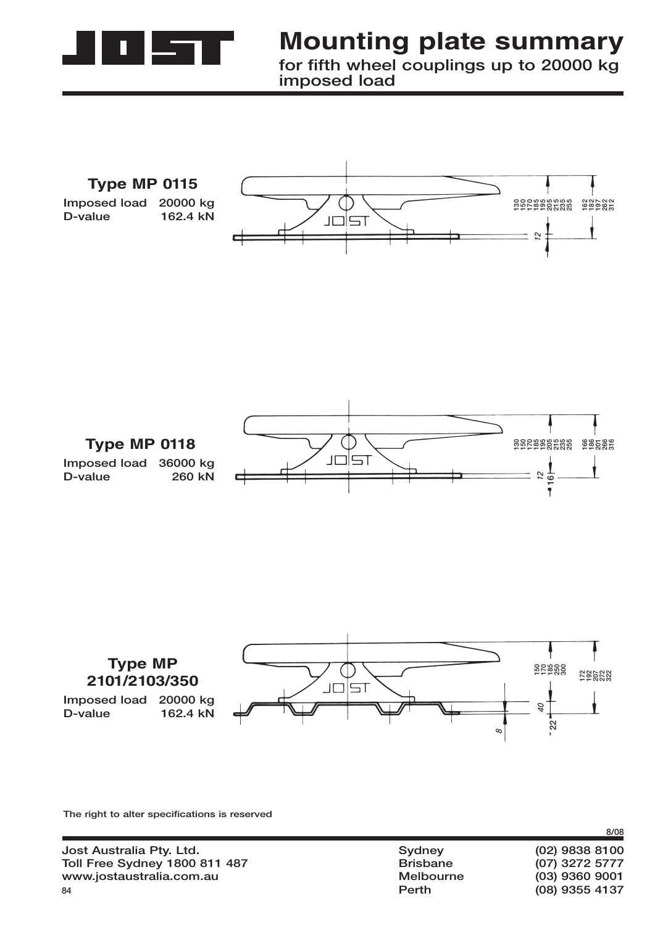

## **Mounting plate summary**

**for fifth wheel couplings up to 20000 kg imposed load**







**The right to alter specifications is reserved**

| Jost Australia Pty. Ltd.             | Sydney           | $(02)$ 9838 8100 |
|--------------------------------------|------------------|------------------|
| <b>Toll Free Sydney 1800 811 487</b> | <b>Brisbane</b>  | (07) 3272 5777   |
| www.jostaustralia.com.au             | <b>Melbourne</b> | $(03)$ 9360 9001 |
| 84                                   | Perth            | (08) 9355 4137   |
|                                      |                  |                  |

**8/08**